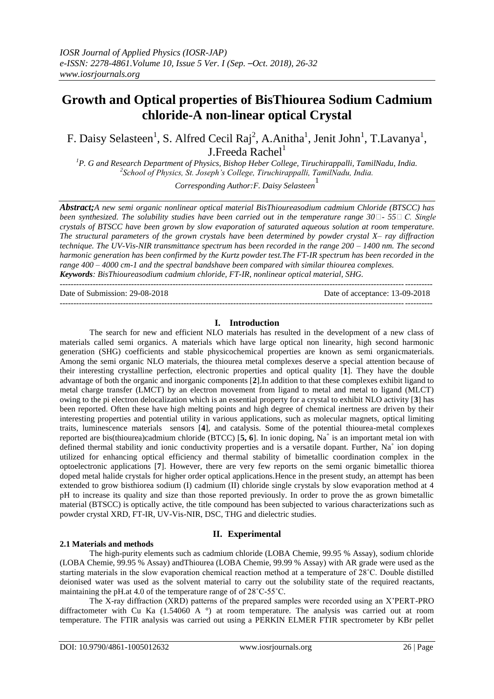# **Growth and Optical properties of BisThiourea Sodium Cadmium chloride-A non-linear optical Crystal**

F. Daisy Selasteen<sup>1</sup>, S. Alfred Cecil Raj<sup>2</sup>, A. Anitha<sup>1</sup>, Jenit John<sup>1</sup>, T. Lavanya<sup>1</sup>,  $J.Freeda$  Rachel<sup>1</sup>

*<sup>1</sup>P. G and Research Department of Physics, Bishop Heber College, Tiruchirappalli, TamilNadu, India. 2 School of Physics, St. Joseph's College, Tiruchirappalli, TamilNadu, India.*

*Corresponding Author: F. Daisy Selasteen*<sup>1</sup>

*Abstract;A new semi organic nonlinear optical material BisThioureasodium cadmium Chloride (BTSCC) has been synthesized. The solubility studies have been carried out in the temperature range 30* $\Box$  *-55* $\Box$  *C. Single crystals of BTSCC have been grown by slow evaporation of saturated aqueous solution at room temperature. The structural parameters of the grown crystals have been determined by powder crystal X– ray diffraction technique. The UV-Vis-NIR transmittance spectrum has been recorded in the range 200 – 1400 nm. The second harmonic generation has been confirmed by the Kurtz powder test.The FT-IR spectrum has been recorded in the range 400 – 4000 cm-1 and the spectral bandshave been compared with similar thiourea complexes. Keywords: BisThioureasodium cadmium chloride, FT-IR, nonlinear optical material, SHG.*

---------------------------------------------------------------------------------------------------------------------------------------

---------------------------------------------------------------------------------------------------------------------------------------

Date of Submission: 29-08-2018 Date of acceptance: 13-09-2018

## **I. Introduction**

The search for new and efficient NLO materials has resulted in the development of a new class of materials called semi organics. A materials which have large optical non linearity, high second harmonic generation (SHG) coefficients and stable physicochemical properties are known as semi organicmaterials. Among the semi organic NLO materials, the thiourea metal complexes deserve a special attention because of their interesting crystalline perfection, electronic properties and optical quality [**1**]. They have the double advantage of both the organic and inorganic components [**2**].In addition to that these complexes exhibit ligand to metal charge transfer (LMCT) by an electron movement from ligand to metal and metal to ligand (MLCT) owing to the pi electron delocalization which is an essential property for a crystal to exhibit NLO activity [**3**] has been reported. Often these have high melting points and high degree of chemical inertness are driven by their interesting properties and potential utility in various applications, such as molecular magnets, optical limiting traits, luminescence materials sensors [**4**], and catalysis. Some of the potential thiourea-metal complexes reported are bis(thiourea)cadmium chloride (BTCC) [5, 6]. In ionic doping, Na<sup>+</sup> is an important metal ion with defined thermal stability and ionic conductivity properties and is a versatile dopant. Further, Na<sup>+</sup> ion doping utilized for enhancing optical efficiency and thermal stability of bimetallic coordination complex in the optoelectronic applications [**7**]. However, there are very few reports on the semi organic bimetallic thiorea doped metal halide crystals for higher order optical applications.Hence in the present study, an attempt has been extended to grow bisthiorea sodium (I) cadmium (II) chloride single crystals by slow evaporation method at 4 pH to increase its quality and size than those reported previously. In order to prove the as grown bimetallic material (BTSCC) is optically active, the title compound has been subjected to various characterizations such as powder crystal XRD, FT-IR, UV-Vis-NIR, DSC, THG and dielectric studies.

## **II. Experimental**

The high-purity elements such as cadmium chloride (LOBA Chemie, 99.95 % Assay), sodium chloride (LOBA Chemie, 99.95 % Assay) andThiourea (LOBA Chemie, 99.99 % Assay) with AR grade were used as the starting materials in the slow evaporation chemical reaction method at a temperature of 28˚C. Double distilled deionised water was used as the solvent material to carry out the solubility state of the required reactants, maintaining the pH.at 4.0 of the temperature range of of 28˚C-55˚C.

The X-ray diffraction (XRD) patterns of the prepared samples were recorded using an X'PERT-PRO diffractometer with Cu Ka (1.54060 A  $\degree$ ) at room temperature. The analysis was carried out at room temperature. The FTIR analysis was carried out using a PERKIN ELMER FTIR spectrometer by KBr pellet

**2.1 Materials and methods**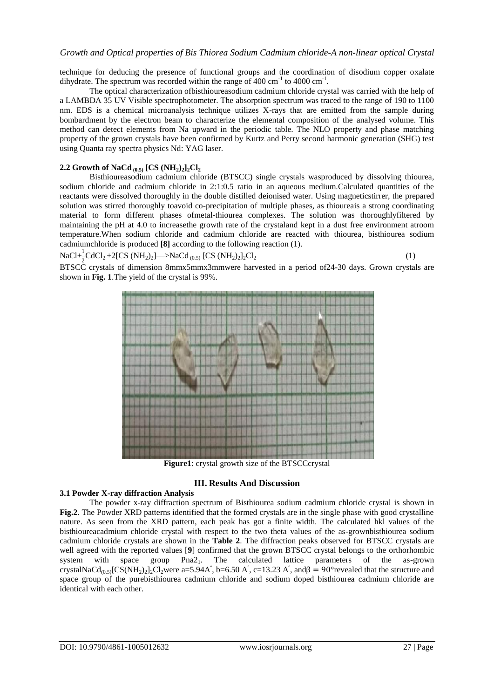technique for deducing the presence of functional groups and the coordination of disodium copper oxalate dihydrate. The spectrum was recorded within the range of  $400 \text{ cm}^{-1}$  to  $4000 \text{ cm}^{-1}$ .

The optical characterization ofbisthioureasodium cadmium chloride crystal was carried with the help of a LAMBDA 35 UV Visible spectrophotometer. The absorption spectrum was traced to the range of 190 to 1100 nm. EDS is a chemical microanalysis technique utilizes X-rays that are emitted from the sample during bombardment by the electron beam to characterize the elemental composition of the analysed volume. This method can detect elements from Na upward in the periodic table. The NLO property and phase matching property of the grown crystals have been confirmed by Kurtz and Perry second harmonic generation (SHG) test using Quanta ray spectra physics Nd: YAG laser.

## **2.2 Growth of NaCd**  $_{(0.5)}$   $[CS (NH<sub>2</sub>)<sub>2</sub>]$ <sub>2</sub> $Cl<sub>2</sub>$

Bisthioureasodium cadmium chloride (BTSCC) single crystals wasproduced by dissolving thiourea, sodium chloride and cadmium chloride in 2:1:0.5 ratio in an aqueous medium.Calculated quantities of the reactants were dissolved thoroughly in the double distilled deionised water. Using magneticstirrer, the prepared solution was stirred thoroughly toavoid co-precipitation of multiple phases, as thioureais a strong coordinating material to form different phases ofmetal-thiourea complexes. The solution was thoroughlyfiltered by maintaining the pH at 4.0 to increasethe growth rate of the crystaland kept in a dust free environment atroom temperature.When sodium chloride and cadmium chloride are reacted with thiourea, bisthiourea sodium cadmiumchloride is produced **[8]** according to the following reaction (1).

$$
NaCl + \frac{1}{2}CdCl_2 + 2[CS (NH_2)_2] \longrightarrow NaCd_{(0.5)} [CS (NH_2)_2]_2Cl_2
$$
\n(1)

 $2^{22}$   $2^{22}$   $2^{22}$   $2^{22}$   $2^{22}$   $2^{22}$   $2^{22}$   $2^{22}$   $2^{22}$   $2^{22}$   $2^{22}$   $2^{22}$   $2^{22}$   $2^{22}$   $2^{22}$   $2^{22}$   $2^{22}$   $2^{22}$   $2^{22}$   $2^{22}$   $2^{22}$   $2^{22}$   $2^{22}$   $2^{22}$   $2^{22}$   $2^{22}$   $2^{22}$   $2^{22$ shown in **Fig. 1**.The yield of the crystal is 99%.



**Figure1**: crystal growth size of the BTSCCcrystal

#### **III. Results And Discussion**

#### **3.1 Powder X-ray diffraction Analysis**

The powder x-ray diffraction spectrum of Bisthiourea sodium cadmium chloride crystal is shown in **Fig.2**. The Powder XRD patterns identified that the formed crystals are in the single phase with good crystalline nature. As seen from the XRD pattern, each peak has got a finite width. The calculated hkl values of the bisthioureacadmium chloride crystal with respect to the two theta values of the as-grownbisthiourea sodium cadmium chloride crystals are shown in the **Table 2**. The diffraction peaks observed for BTSCC crystals are well agreed with the reported values [9] confirmed that the grown BTSCC crystal belongs to the orthorhombic system with space group Pna2<sub>1</sub>. The calculated lattice parameters of the as-grown system with space group  $Pna2<sub>1</sub>$ . The calculated lattice parameters of the crystalNaCd<sub>(0.5)</sub>[CS(NH<sub>2)2</sub>]<sub>2</sub>Cl<sub>2</sub>were a=5.94A<sup>°</sup>, b=6.50 A<sup>°</sup>, c=13.23 A<sup>°</sup>, and  $\beta$  = 90° revealed that the structure and space group of the purebisthiourea cadmium chloride and sodium doped bisthiourea cadmium chloride are identical with each other.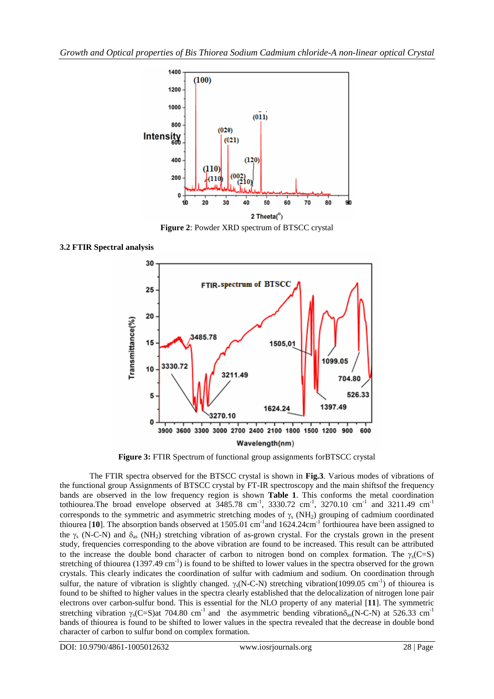

**Figure 2**: Powder XRD spectrum of BTSCC crystal

**3.2 FTIR Spectral analysis**



**Figure 3:** FTIR Spectrum of functional group assignments forBTSCC crystal

The FTIR spectra observed for the BTSCC crystal is shown in **Fig.3**. Various modes of vibrations of the functional group Assignments of BTSCC crystal by FT-IR spectroscopy and the main shiftsof the frequency bands are observed in the low frequency region is shown **Table 1**. This conforms the metal coordination tothiourea. The broad envelope observed at  $3485.78$  cm<sup>-1</sup>,  $3330.72$  cm<sup>-1</sup>,  $3270.10$  cm<sup>-1</sup> and  $3211.49$  cm<sup>-1</sup> corresponds to the symmetric and asymmetric stretching modes of  $\gamma_s$  (NH<sub>2</sub>) grouping of cadmium coordinated thiourea [10]. The absorption bands observed at 1505.01 cm<sup>-1</sup> and 1624.24cm<sup>-1</sup> forthiourea have been assigned to the  $\gamma_s$  (N-C-N) and  $\delta_{as}$  (NH<sub>2</sub>) stretching vibration of as-grown crystal. For the crystals grown in the present study, frequencies corresponding to the above vibration are found to be increased. This result can be attributed to the increase the double bond character of carbon to nitrogen bond on complex formation. The  $\gamma_s(C=S)$ stretching of thiourea (1397.49 cm<sup>-1</sup>) is found to be shifted to lower values in the spectra observed for the grown crystals. This clearly indicates the coordination of sulfur with cadmium and sodium. On coordination through sulfur, the nature of vibration is slightly changed.  $\gamma_s(N-C-N)$  stretching vibration(1099.05 cm<sup>-1</sup>) of thiourea is found to be shifted to higher values in the spectra clearly established that the delocalization of nitrogen lone pair electrons over carbon-sulfur bond. This is essential for the NLO property of any material [**11**]. The symmetric stretching vibration  $\gamma_s(C=S)$ at 704.80 cm<sup>-1</sup> and the asymmetric bending vibration $\delta_{ss}(N-C-N)$  at 526.33 cm<sup>-1</sup> bands of thiourea is found to be shifted to lower values in the spectra revealed that the decrease in double bond character of carbon to sulfur bond on complex formation.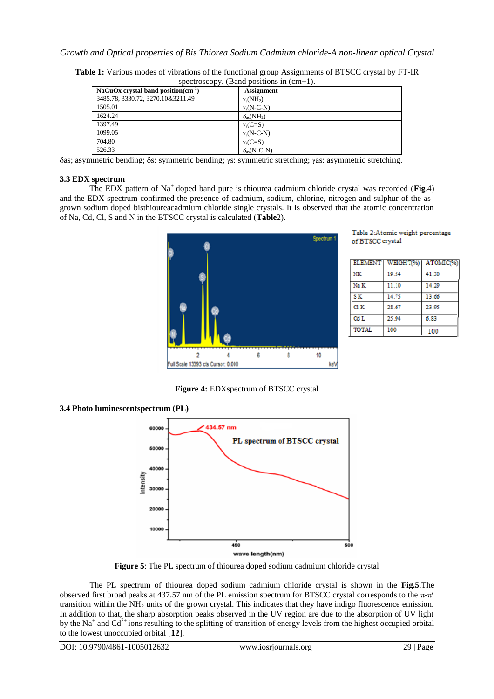| spectroscopy. (Band positions in $\text{cm}$ -1). |                             |  |  |  |  |
|---------------------------------------------------|-----------------------------|--|--|--|--|
| NaCuOx crystal band position( $cm-1$ )            | <b>Assignment</b>           |  |  |  |  |
| 3485.78, 3330.72, 3270.10&3211.49                 | $\gamma_s(NH_2)$            |  |  |  |  |
| 1505.01                                           | $\gamma_s(N-C-N)$           |  |  |  |  |
| 1624.24                                           | $\delta_{\rm as}(\rm NH_2)$ |  |  |  |  |
| 1397.49                                           | $\gamma_s(C=S)$             |  |  |  |  |
| 1099.05                                           | $\gamma_s(N-C-N)$           |  |  |  |  |
| 704.80                                            | $\gamma_s(C=S)$             |  |  |  |  |
| 526.33                                            | $\delta_{\rm as}$ (N-C-N)   |  |  |  |  |
|                                                   |                             |  |  |  |  |

**Table 1:** Various modes of vibrations of the functional group Assignments of BTSCC crystal by FT-IR  $s_{\text{econv}}$ . (Band positions in (cm−1)

δas; asymmetric bending; δs: symmetric bending; γs: symmetric stretching; γas: asymmetric stretching.

### **3.3 EDX spectrum**

The EDX pattern of Na<sup>+</sup> doped band pure is thiourea cadmium chloride crystal was recorded (**Fig.**4) and the EDX spectrum confirmed the presence of cadmium, sodium, chlorine, nitrogen and sulphur of the asgrown sodium doped bisthioureacadmium chloride single crystals. It is observed that the atomic concentration of Na, Cd, Cl, S and N in the BTSCC crystal is calculated (**Table**2).



Table 2:Atomic weight percentage of BTSCC crystal

| <b>ELEMENT</b> | WEIGH 7(%) | ATOMIC(%) |
|----------------|------------|-----------|
| NK             | 19.54      | 41.30     |
| Na K           | 11.10      | 14.29     |
| SK.            | 14.75      | 13.66     |
| <b>GIK</b>     | 28.67      | 23.95     |
| Cd L           | 25.94      | 6.83      |
| <b>TOTAL</b>   | 100        | 100       |

**Figure 4:** EDXspectrum of BTSCC crystal

**3.4 Photo luminescentspectrum (PL)** 



**Figure 5**: The PL spectrum of thiourea doped sodium cadmium chloride crystal

The PL spectrum of thiourea doped sodium cadmium chloride crystal is shown in the **Fig.5**.The observed first broad peaks at 437.57 nm of the PL emission spectrum for BTSCC crystal corresponds to the  $\pi$ - $\pi$ <sup>\*</sup> transition within the  $NH<sub>2</sub>$  units of the grown crystal. This indicates that they have indigo fluorescence emission. In addition to that, the sharp absorption peaks observed in the UV region are due to the absorption of UV light by the Na<sup>+</sup> and Cd<sup>2+</sup> ions resulting to the splitting of transition of energy levels from the highest occupied orbital to the lowest unoccupied orbital [**12**].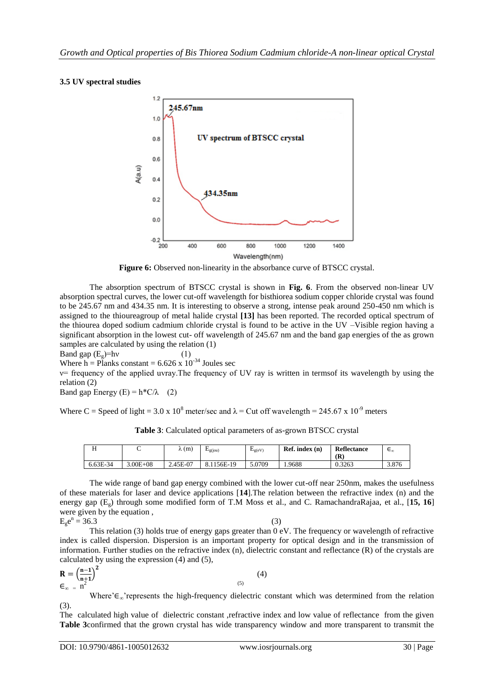## **3.5 UV spectral studies**



**Figure 6:** Observed non-linearity in the absorbance curve of BTSCC crystal.

The absorption spectrum of BTSCC crystal is shown in **Fig. 6**. From the observed non-linear UV absorption spectral curves, the lower cut-off wavelength for bisthiorea sodium copper chloride crystal was found to be 245.67 nm and 434.35 nm. It is interesting to observe a strong, intense peak around 250-450 nm which is assigned to the thioureagroup of metal halide crystal **[13]** has been reported. The recorded optical spectrum of the thiourea doped sodium cadmium chloride crystal is found to be active in the UV –Visible region having a significant absorption in the lowest cut- off wavelength of 245.67 nm and the band gap energies of the as grown samples are calculated by using the relation (1)

Band gap  $(E_{\varphi})=h\nu$  (1)

Where h = Planks constant =  $6.626 \times 10^{-34}$  Joules sec

ν= frequency of the applied uvray.The frequency of UV ray is written in termsof its wavelength by using the relation (2)

Band gap Energy (E) =  $h * C/\lambda$  (2)

Where C = Speed of light = 3.0 x 10<sup>8</sup> meter/sec and  $\lambda$  = Cut off wavelength = 245.67 x 10<sup>-9</sup> meters

|          |              | $\lambda(m)$ | $E_{\rm g(jou)}$ | $E_{\rm g(eV)}$ | $\text{Ref. index}$ (n) | <b>Reflectance</b> | $\epsilon^{\infty}$ |
|----------|--------------|--------------|------------------|-----------------|-------------------------|--------------------|---------------------|
|          |              |              |                  |                 |                         | (R`                |                     |
| 6.63E-34 | $3.00E + 08$ | 2.45E-07     | 8.1156E-19       | 5.0709          | . 9688                  | 0.3263             | 3.876               |

**Table 3**: Calculated optical parameters of as-grown BTSCC crystal

The wide range of band gap energy combined with the lower cut-off near 250nm, makes the usefulness of these materials for laser and device applications [**14**].The relation between the refractive index (n) and the energy gap (Eg) through some modified form of T.M Moss et al., and C. RamachandraRajaa, et al., [**15, 16**] were given by the equation ,

$$
Egen = 36.3
$$
 (3)

This relation (3) holds true of energy gaps greater than 0 eV. The frequency or wavelength of refractive index is called dispersion. Dispersion is an important property for optical design and in the transmission of information. Further studies on the refractive index  $(n)$ , dielectric constant and reflectance  $(R)$  of the crystals are calculated by using the expression (4) and (5),

$$
\mathbf{R} = \left(\frac{\mathbf{n}-1}{\mathbf{n}+1}\right)^2
$$
\n
$$
\mathbf{E}_{\infty} = \mathbf{n}^2
$$
\n(4)

Where'∈∞'represents the high-frequency dielectric constant which was determined from the relation (3).

The calculated high value of dielectric constant ,refractive index and low value of reflectance from the given **Table 3**confirmed that the grown crystal has wide transparency window and more transparent to transmit the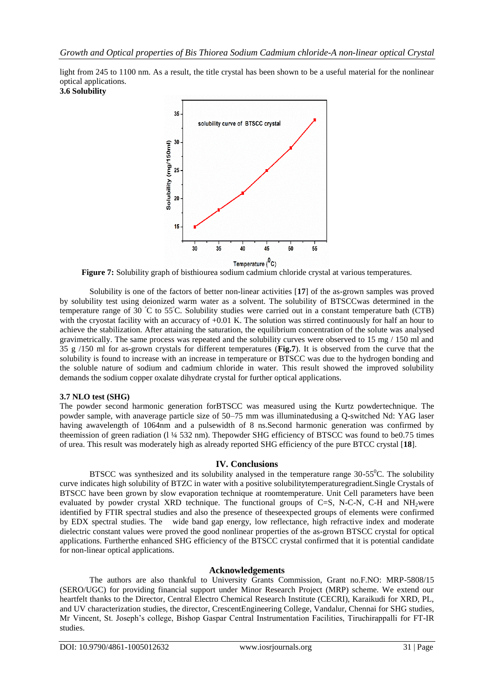light from 245 to 1100 nm. As a result, the title crystal has been shown to be a useful material for the nonlinear optical applications. **3.6 Solubility**



**Figure 7:** Solubility graph of bisthiourea sodium cadmium chloride crystal at various temperatures.

Solubility is one of the factors of better non-linear activities [**17**] of the as-grown samples was proved by solubility test using deionized warm water as a solvent. The solubility of BTSCCwas determined in the temperature range of 30  $\degree$ C to 55 $\degree$ C. Solubility studies were carried out in a constant temperature bath (CTB) with the cryostat facility with an accuracy of +0.01 K. The solution was stirred continuously for half an hour to achieve the stabilization. After attaining the saturation, the equilibrium concentration of the solute was analysed gravimetrically. The same process was repeated and the solubility curves were observed to 15 mg / 150 ml and 35 g /150 ml for as-grown crystals for different temperatures (**Fig.7**). It is observed from the curve that the solubility is found to increase with an increase in temperature or BTSCC was due to the hydrogen bonding and the soluble nature of sodium and cadmium chloride in water. This result showed the improved solubility demands the sodium copper oxalate dihydrate crystal for further optical applications.

#### **3.7 NLO test (SHG)**

The powder second harmonic generation forBTSCC was measured using the Kurtz powdertechnique. The powder sample, with anaverage particle size of 50–75 mm was illuminatedusing a Q-switched Nd: YAG laser having awavelength of 1064nm and a pulsewidth of 8 ns.Second harmonic generation was confirmed by theemission of green radiation (l ¼ 532 nm). Thepowder SHG efficiency of BTSCC was found to be0.75 times of urea. This result was moderately high as already reported SHG efficiency of the pure BTCC crystal [**18**].

#### **IV. Conclusions**

BTSCC was synthesized and its solubility analysed in the temperature range  $30-55^{\circ}$ C. The solubility curve indicates high solubility of BTZC in water with a positive solubilitytemperaturegradient.Single Crystals of BTSCC have been grown by slow evaporation technique at roomtemperature. Unit Cell parameters have been evaluated by powder crystal XRD technique. The functional groups of  $C=S$ , N-C-N, C-H and NH<sub>2</sub>were identified by FTIR spectral studies and also the presence of theseexpected groups of elements were confirmed by EDX spectral studies. The wide band gap energy, low reflectance, high refractive index and moderate dielectric constant values were proved the good nonlinear properties of the as-grown BTSCC crystal for optical applications. Furtherthe enhanced SHG efficiency of the BTSCC crystal confirmed that it is potential candidate for non-linear optical applications.

## **Acknowledgements**

The authors are also thankful to University Grants Commission, Grant no.F.NO: MRP-5808/15 (SERO/UGC) for providing financial support under Minor Research Project (MRP) scheme. We extend our heartfelt thanks to the Director, Central Electro Chemical Research Institute (CECRI), Karaikudi for XRD, PL, and UV characterization studies, the director, CrescentEngineering College, Vandalur, Chennai for SHG studies, Mr Vincent, St. Joseph's college, Bishop Gaspar Central Instrumentation Facilities, Tiruchirappalli for FT-IR studies.